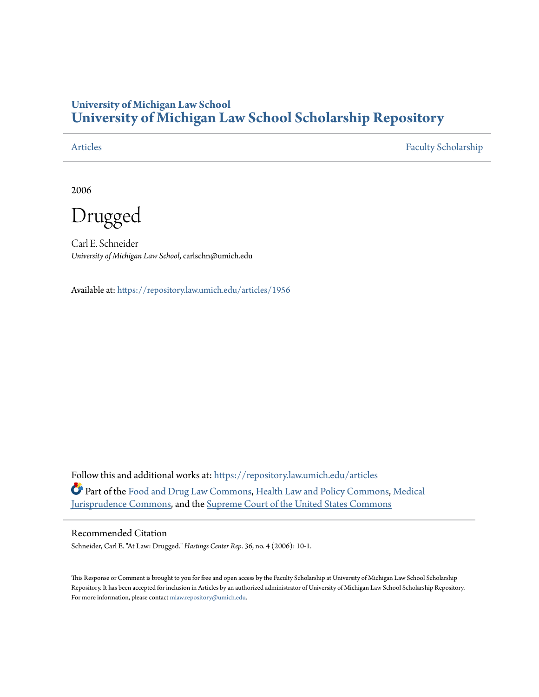## **University of Michigan Law School [University of Michigan Law School Scholarship Repository](https://repository.law.umich.edu?utm_source=repository.law.umich.edu%2Farticles%2F1956&utm_medium=PDF&utm_campaign=PDFCoverPages)**

[Articles](https://repository.law.umich.edu/articles?utm_source=repository.law.umich.edu%2Farticles%2F1956&utm_medium=PDF&utm_campaign=PDFCoverPages) [Faculty Scholarship](https://repository.law.umich.edu/faculty_scholarship?utm_source=repository.law.umich.edu%2Farticles%2F1956&utm_medium=PDF&utm_campaign=PDFCoverPages)

2006

Drugged

Carl E. Schneider *University of Michigan Law School*, carlschn@umich.edu

Available at: <https://repository.law.umich.edu/articles/1956>

Follow this and additional works at: [https://repository.law.umich.edu/articles](https://repository.law.umich.edu/articles?utm_source=repository.law.umich.edu%2Farticles%2F1956&utm_medium=PDF&utm_campaign=PDFCoverPages) Part of the [Food and Drug Law Commons,](http://network.bepress.com/hgg/discipline/844?utm_source=repository.law.umich.edu%2Farticles%2F1956&utm_medium=PDF&utm_campaign=PDFCoverPages) [Health Law and Policy Commons,](http://network.bepress.com/hgg/discipline/901?utm_source=repository.law.umich.edu%2Farticles%2F1956&utm_medium=PDF&utm_campaign=PDFCoverPages) [Medical](http://network.bepress.com/hgg/discipline/860?utm_source=repository.law.umich.edu%2Farticles%2F1956&utm_medium=PDF&utm_campaign=PDFCoverPages) [Jurisprudence Commons](http://network.bepress.com/hgg/discipline/860?utm_source=repository.law.umich.edu%2Farticles%2F1956&utm_medium=PDF&utm_campaign=PDFCoverPages), and the [Supreme Court of the United States Commons](http://network.bepress.com/hgg/discipline/1350?utm_source=repository.law.umich.edu%2Farticles%2F1956&utm_medium=PDF&utm_campaign=PDFCoverPages)

## Recommended Citation

Schneider, Carl E. "At Law: Drugged." *Hastings Center Rep*. 36, no. 4 (2006): 10-1.

This Response or Comment is brought to you for free and open access by the Faculty Scholarship at University of Michigan Law School Scholarship Repository. It has been accepted for inclusion in Articles by an authorized administrator of University of Michigan Law School Scholarship Repository. For more information, please contact [mlaw.repository@umich.edu](mailto:mlaw.repository@umich.edu).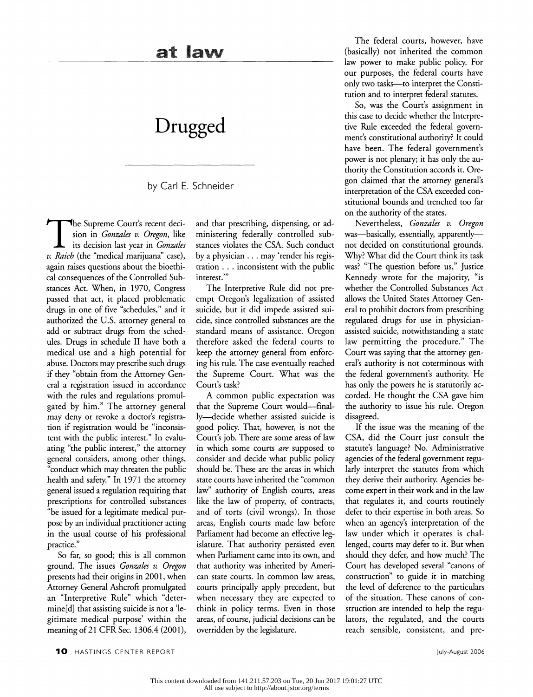## **Drugged**

by Carl E. Schneider

The Supreme Court's recent decision in *Gonzales v. Oregon*, like its decision last year in *Gonzales v. Raich* (the "medical marijuana'' case), again raises questions about the bioethical consequences of the Controlled Substances Act. When, in 1970, Congress passed that act, it placed problematic drugs in one of five "schedules," and it authorized the U.S. attorney general to add or subtract drugs from the schedules. Drugs in schedule II have both a medical use and a high potential for abuse. Doctors may prescribe such drugs if they "obtain from the Attorney General a registration issued in accordance with the rules and regulations promulgated by him." The attorney general may deny or revoke a doctor's registration if registration would be "inconsistent with the public interest." In evaluating "the public interest," the attorney general considers, among other things, "conduct which may threaten the public health and safety." In 1971 the attorney general issued a regulation requiring that prescriptions for controlled substances "be issued for a legitimate medical purpose by an individual practitioner acting in the usual course of his professional practice."

So far, so good; this is all common ground. The issues *Gonzales v. Oregon*  presents had their origins in 2001, when Attorney General Ashcroft promulgated an "Interpretive Rule" which "determine[d] that assisting suicide is not a 'legitimate medical purpose' within the meaning of 21 CFR Sec. 1306.4 (2001),

and that prescribing, dispensing, or administering federally controlled substances violates the CSA. Such conduct by a physician ... may 'render his registration ... inconsistent with the public interest."

The Interpretive Rule did not preempt Oregon's legalization of assisted suicide, but it did impede assisted suicide, since controlled substances are the standard means of assistance. Oregon therefore asked the federal courts to keep the attorney general from enforcing his rule. The case eventually reached the Supreme Court. What was the Court's task?

A common public expectation was that the Supreme Court would-finally-decide whether assisted suicide is good policy. That, however, is not the Court's job. There are some areas of law in which some courts *are* supposed to consider and decide what public policy should be. These are the areas in which state courts have inherited the "common law" authority of English courts, areas like the law of property, of contracts, and of torts (civil wrongs). In those areas, English courts made law before Parliament had become an effective legislature. That authority persisted even when Parliament came into its own, and that authority was inherited by American state courts. In common law areas, courts principally apply precedent, but when necessary they are expected to think in policy terms. Even in those areas, of course, judicial decisions can be overridden by the legislature.

The federal courts, however, have (basically) not inherited the common law power to make public policy. For our purposes, the federal courts have only two tasks-to interpret the Constitution and to interpret federal statutes.

So, was the Court's assignment in this case to decide whether the Interpretive Rule exceeded the federal government's constitutional authority? It could have been. The federal government's power is not plenary; it has only the authority the Constitution accords it. Oregon claimed that the attorney general's interpretation of the CSA exceeded constitutional bounds and trenched too far on the authority of the states.

Nevertheless, *Gonzales v. Oregon*  was-basically, essentially, apparentlynot decided on constitutional grounds. Why? What did the Court think its task was? "The question before us," Justice Kennedy wrote for the majority, "is whether the Controlled Substances Act allows the United States Attorney General to prohibit doctors from prescribing regulated drugs for use in physicianassisted suicide, notwithstanding a state law permitting the procedure." The Court was saying that the attorney general's authority is not coterminous with the federal government's authority. He has only the powers he is statutorily accorded. He thought the CSA gave him the authority to issue his rule. Oregon disagreed.

If the issue was the meaning of the CSA, did the Court just consult the statute's language? No. Administrative agencies of the federal government regularly interpret the statutes from which they derive their authority. Agencies become expert in their work and in the law that regulates it, and courts routinely defer to their expertise in both areas. So when an agency's interpretation of the law under which it operates is challenged, courts may defer to it. But when should they defer, and how much? The Court has developed several "canons of construction" to guide it in matching the level of deference to the particulars of the situation. These canons of construction are intended to help the regulators, the regulated, and the courts reach sensible, consistent, and pre